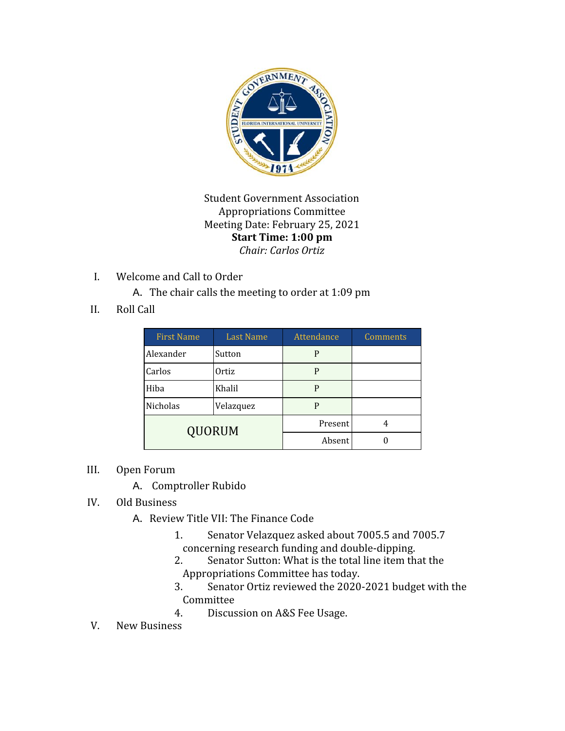

Student Government Association Appropriations Committee Meeting Date: February 25, 2021 **Start Time: 1:00 pm** *Chair: Carlos Ortiz*

I. Welcome and Call to Order

A. The chair calls the meeting to order at 1:09 pm

II. Roll Call

| <b>First Name</b> | <b>Last Name</b> | Attendance | Comments |
|-------------------|------------------|------------|----------|
| Alexander         | Sutton           | P          |          |
| Carlos            | Ortiz            | P          |          |
| Hiba              | Khalil           | P          |          |
| Nicholas          | Velazquez        | P          |          |
| <b>QUORUM</b>     |                  | Present    |          |
|                   |                  | Absent     |          |

- III. Open Forum
	- A. Comptroller Rubido
- IV. Old Business
	- A. Review Title VII: The Finance Code
		- 1. Senator Velazquez asked about 7005.5 and 7005.7 concerning research funding and double-dipping.
		- 2. Senator Sutton: What is the total line item that the Appropriations Committee has today.
		- 3. Senator Ortiz reviewed the 2020-2021 budget with the Committee
		- 4. Discussion on A&S Fee Usage.
- V. New Business